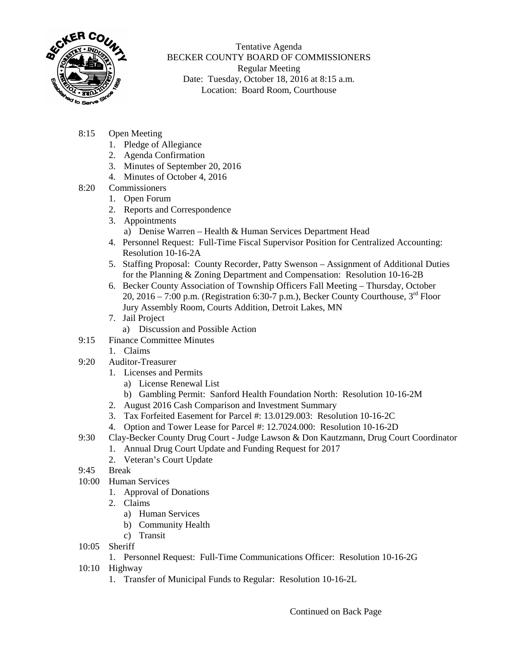

Tentative Agenda BECKER COUNTY BOARD OF COMMISSIONERS Regular Meeting Date: Tuesday, October 18, 2016 at 8:15 a.m. Location: Board Room, Courthouse

- 8:15 Open Meeting
	- 1. Pledge of Allegiance
	- 2. Agenda Confirmation
	- 3. Minutes of September 20, 2016
	- 4. Minutes of October 4, 2016
- 8:20 Commissioners
	- 1. Open Forum
	- 2. Reports and Correspondence
	- 3. Appointments
		- a) Denise Warren Health & Human Services Department Head
	- 4. Personnel Request: Full-Time Fiscal Supervisor Position for Centralized Accounting: Resolution 10-16-2A
	- 5. Staffing Proposal: County Recorder, Patty Swenson Assignment of Additional Duties for the Planning & Zoning Department and Compensation: Resolution 10-16-2B
	- 6. Becker County Association of Township Officers Fall Meeting Thursday, October 20, 2016 – 7:00 p.m. (Registration 6:30-7 p.m.), Becker County Courthouse,  $3<sup>rd</sup>$  Floor Jury Assembly Room, Courts Addition, Detroit Lakes, MN
	- 7. Jail Project
		- a) Discussion and Possible Action
- 9:15 Finance Committee Minutes
	- 1. Claims
- 9:20 Auditor-Treasurer
	- 1. Licenses and Permits
		- a) License Renewal List
		- b) Gambling Permit: Sanford Health Foundation North: Resolution 10-16-2M
	- 2. August 2016 Cash Comparison and Investment Summary
	- 3. Tax Forfeited Easement for Parcel #: 13.0129.003: Resolution 10-16-2C
	- 4. Option and Tower Lease for Parcel #: 12.7024.000: Resolution 10-16-2D
- 9:30 Clay-Becker County Drug Court Judge Lawson & Don Kautzmann, Drug Court Coordinator
	- 1. Annual Drug Court Update and Funding Request for 2017
	- 2. Veteran's Court Update
- 9:45 Break
- 10:00 Human Services
	- 1. Approval of Donations
	- 2. Claims
		- a) Human Services
		- b) Community Health
		- c) Transit
- 10:05 Sheriff
	- 1. Personnel Request: Full-Time Communications Officer: Resolution 10-16-2G
- 10:10 Highway
	- 1. Transfer of Municipal Funds to Regular: Resolution 10-16-2L